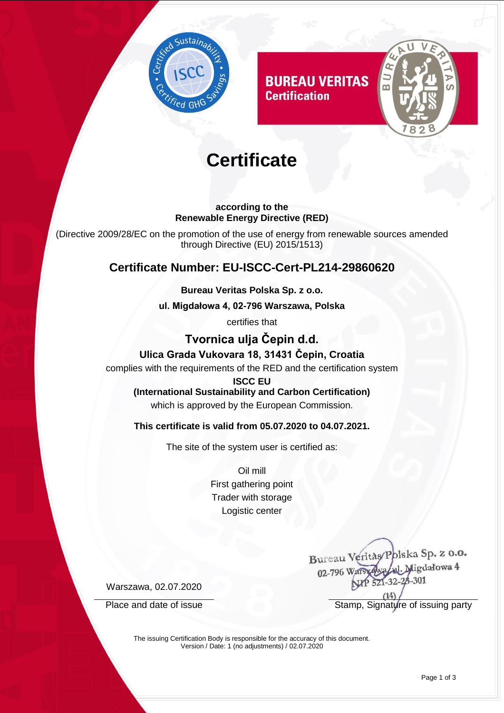

**BUREAU VERITAS Certification** 



# **Certificate**

#### **according to the Renewable Energy Directive (RED)**

(Directive 2009/28/EC on the promotion of the use of energy from renewable sources amended through Directive (EU) 2015/1513)

# **Certificate Number: EU-ISCC-Cert-PL214-29860620**

#### **Bureau Veritas Polska Sp. z o.o.**

**ul. Migdałowa 4, 02-796 Warszawa, Polska** 

certifies that

# **Tvornica ulja Čepin d.d.**

#### **Ulica Grada Vukovara 18, 31431 Čepin, Croatia**

complies with the requirements of the RED and the certification system

**ISCC EU**

**(International Sustainability and Carbon Certification)** which is approved by the European Commission.

#### **This certificate is valid from 05.07.2020 to 04.07.2021.**

The site of the system user is certified as:

Oil mill First gathering point Trader with storage Logistic center

Bureau Veritas/Polska Sp. z o.o. Jul. Migdałowa 4 02-796 Wars 521-32-28-301

Warszawa, 02.07.2020

Place and date of issue Stamp, Signature of issuing party

The issuing Certification Body is responsible for the accuracy of this document. Version / Date: 1 (no adjustments) / 02.07.2020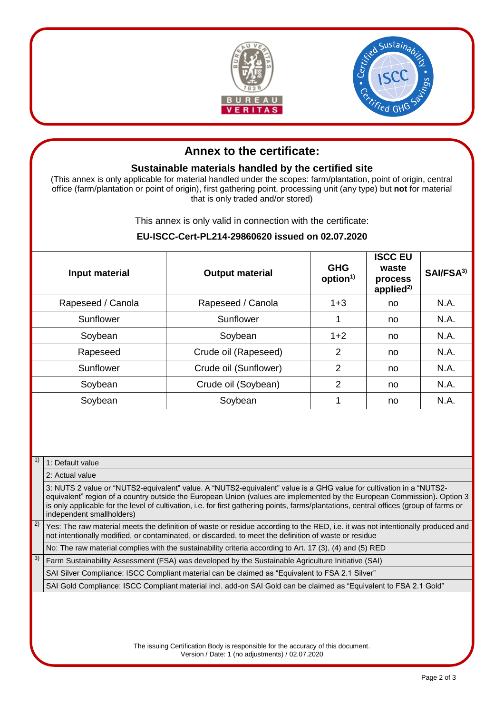



# **Annex to the certificate:**

#### **Sustainable materials handled by the certified site**

(This annex is only applicable for material handled under the scopes: farm/plantation, point of origin, central office (farm/plantation or point of origin), first gathering point, processing unit (any type) but **not** for material that is only traded and/or stored)

This annex is only valid in connection with the certificate:

#### **EU-ISCC-Cert-PL214-29860620 issued on 02.07.2020**

| Input material    | <b>Output material</b> | <b>GHG</b><br>option <sup>1)</sup> | <b>ISCC EU</b><br>waste<br>process<br>applied $^{2)}$ | SAI/FSA <sup>3)</sup> |
|-------------------|------------------------|------------------------------------|-------------------------------------------------------|-----------------------|
| Rapeseed / Canola | Rapeseed / Canola      | $1 + 3$                            | no.                                                   | N.A.                  |
| Sunflower         | Sunflower              | 1                                  | no.                                                   | N.A.                  |
| Soybean           | Soybean                | $1+2$                              | no.                                                   | N.A.                  |
| Rapeseed          | Crude oil (Rapeseed)   | $\overline{2}$                     | no.                                                   | N.A.                  |
| Sunflower         | Crude oil (Sunflower)  | $\overline{2}$                     | no                                                    | N.A.                  |
| Soybean           | Crude oil (Soybean)    | 2                                  | no                                                    | N.A.                  |
| Soybean           | Soybean                | 1                                  | no                                                    | N.A.                  |

#### $1)$  1: Default value

#### 2: Actual value

3: NUTS 2 value or "NUTS2-equivalent" value. A "NUTS2-equivalent" value is a GHG value for cultivation in a "NUTS2 equivalent" region of a country outside the European Union (values are implemented by the European Commission)**.** Option 3 is only applicable for the level of cultivation, i.e. for first gathering points, farms/plantations, central offices (group of farms or independent smallholders)

 $2)$  Yes: The raw material meets the definition of waste or residue according to the RED, i.e. it was not intentionally produced and not intentionally modified, or contaminated, or discarded, to meet the definition of waste or residue

No: The raw material complies with the sustainability criteria according to Art. 17 (3), (4) and (5) RED

 $3)$  Farm Sustainability Assessment (FSA) was developed by the Sustainable Agriculture Initiative (SAI)

SAI Silver Compliance: ISCC Compliant material can be claimed as "Equivalent to FSA 2.1 Silver"

SAI Gold Compliance: ISCC Compliant material incl. add-on SAI Gold can be claimed as "Equivalent to FSA 2.1 Gold"

The issuing Certification Body is responsible for the accuracy of this document. Version / Date: 1 (no adjustments) / 02.07.2020